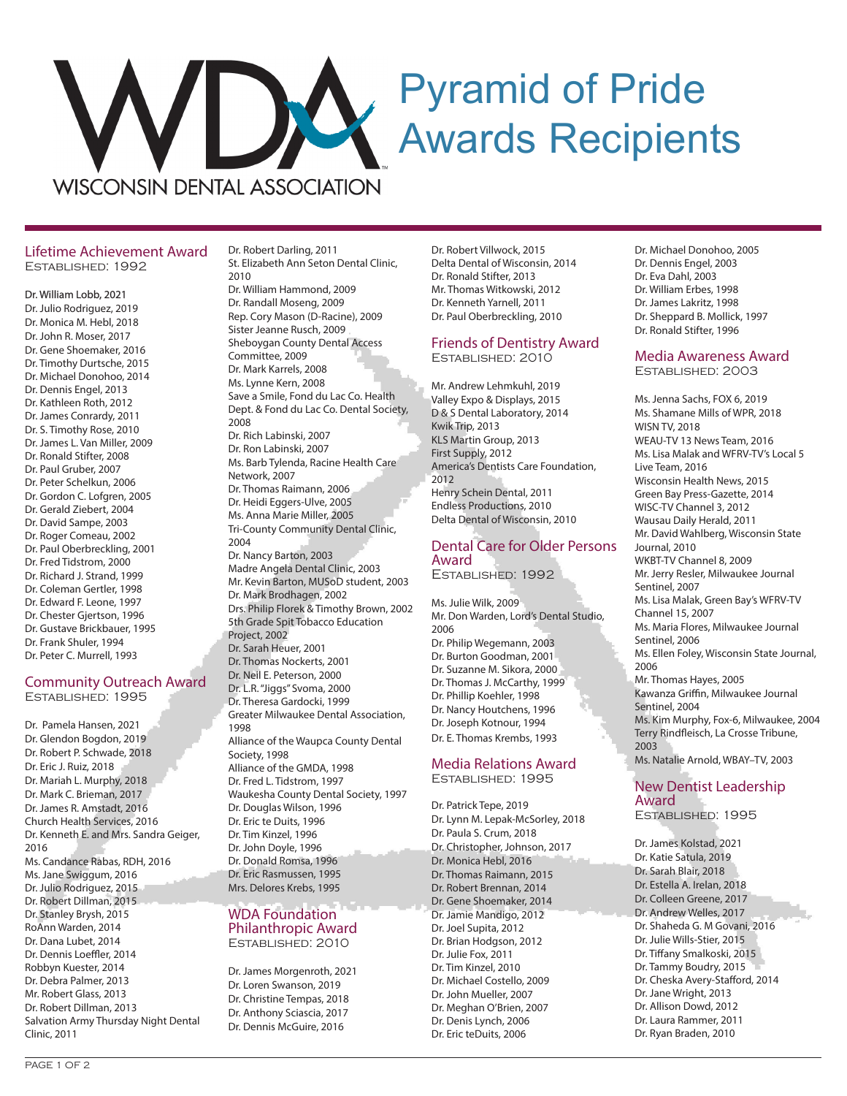# Pyramid of Pride Awards Recipients

**WISCONSIN DENTAL ASSOCIATION** 

## Lifetime Achievement Award Established: 1992

### Dr. William Lobb, 2021

Dr. Julio Rodriguez, 2019 Dr. Monica M. Hebl, 2018 Dr. John R. Moser, 2017 Dr. Gene Shoemaker, 2016 Dr. Timothy Durtsche, 2015 Dr. Michael Donohoo, 2014 Dr. Dennis Engel, 2013 Dr. Kathleen Roth, 2012 Dr. James Conrardy, 2011 Dr. S. Timothy Rose, 2010 Dr. James L. Van Miller, 2009 Dr. Ronald Stifter, 2008 Dr. Paul Gruber, 2007 Dr. Peter Schelkun, 2006 Dr. Gordon C. Lofgren, 2005 Dr. Gerald Ziebert, 2004 Dr. David Sampe, 2003 Dr. Roger Comeau, 2002 Dr. Paul Oberbreckling, 2001 Dr. Fred Tidstrom, 2000 Dr. Richard J. Strand, 1999 Dr. Coleman Gertler, 1998 Dr. Edward F. Leone, 1997 Dr. Chester Gjertson, 1996 Dr. Gustave Brickbauer, 1995 Dr. Frank Shuler, 1994

## Community Outreach Award Established: 1995

Dr. Peter C. Murrell, 1993

Dr. Pamela Hansen, 2021 Dr. Glendon Bogdon, 2019 Dr. Robert P. Schwade, 2018 Dr. Eric J. Ruiz, 2018 Dr. Mariah L. Murphy, 2018 Dr. Mark C. Brieman, 2017 Dr. James R. Amstadt, 2016 Church Health Services, 2016 Dr. Kenneth E. and Mrs. Sandra Geiger, 2016 Ms. Candance Rabas, RDH, 2016 Ms. Jane Swiggum, 2016 Dr. Julio Rodriguez, 2015 Dr. Robert Dillman, 2015 Dr. Stanley Brysh, 2015 RoAnn Warden, 2014 Dr. Dana Lubet, 2014 Dr. Dennis Loeffler, 2014 Robbyn Kuester, 2014 Dr. Debra Palmer, 2013 Mr. Robert Glass, 2013 Dr. Robert Dillman, 2013 Salvation Army Thursday Night Dental Clinic, 2011

Dr. Robert Darling, 2011 St. Elizabeth Ann Seton Dental Clinic, 2010

Dr. William Hammond, 2009 Dr. Randall Moseng, 2009 Rep. Cory Mason (D-Racine), 2009 Sister Jeanne Rusch, 2009 Sheboygan County Dental Access Committee, 2009 Dr. Mark Karrels, 2008 Ms. Lynne Kern, 2008 Save a Smile, Fond du Lac Co. Health Dept. & Fond du Lac Co. Dental Society, 2008 Dr. Rich Labinski, 2007 Dr. Ron Labinski, 2007 Ms. Barb Tylenda, Racine Health Care Network, 2007 Dr. Thomas Raimann, 2006 Dr. Heidi Eggers-Ulve, 2005 Ms. Anna Marie Miller, 2005 Tri-County Community Dental Clinic, 2004 Dr. Nancy Barton, 2003 Madre Angela Dental Clinic, 2003 Mr. Kevin Barton, MUSoD student, 2003 Dr. Mark Brodhagen, 2002 Drs. Philip Florek & Timothy Brown, 2002 5th Grade Spit Tobacco Education Project, 2002 Dr. Sarah Heuer, 2001 Dr. Thomas Nockerts, 2001 Dr. Neil E. Peterson, 2000 Dr. L.R. "Jiggs" Svoma, 2000 Dr. Theresa Gardocki, 1999 Greater Milwaukee Dental Association, 1998 Alliance of the Waupca County Dental

Society, 1998 Alliance of the GMDA, 1998 Dr. Fred L. Tidstrom, 1997 Waukesha County Dental Society, 1997 Dr. Douglas Wilson, 1996 Dr. Eric te Duits, 1996 Dr. Tim Kinzel, 1996 Dr. John Doyle, 1996 Dr. Donald Romsa, 1996 Dr. Eric Rasmussen, 1995 Mrs. Delores Krebs, 1995

## WDA Foundation Philanthropic Award Established: 2010

Dr. James Morgenroth, 2021 Dr. Loren Swanson, 2019 Dr. Christine Tempas, 2018 Dr. Anthony Sciascia, 2017 Dr. Dennis McGuire, 2016

Dr. Robert Villwock, 2015 Delta Dental of Wisconsin, 2014 Dr. Ronald Stifter, 2013 Mr. Thomas Witkowski, 2012 Dr. Kenneth Yarnell, 2011 Dr. Paul Oberbreckling, 2010

## Friends of Dentistry Award Established: 2010

Mr. Andrew Lehmkuhl, 2019 Valley Expo & Displays, 2015 D & S Dental Laboratory, 2014 Kwik Trip, 2013 KLS Martin Group, 2013 First Supply, 2012 America's Dentists Care Foundation, 2012 Henry Schein Dental, 2011 Endless Productions, 2010 Delta Dental of Wisconsin, 2010

## Dental Care for Older Persons Award

Established: 1992

Ms. Julie Wilk, 2009 Mr. Don Warden, Lord's Dental Studio, 2006 Dr. Philip Wegemann, 2003 Dr. Burton Goodman, 2001 Dr. Suzanne M. Sikora, 2000 Dr. Thomas J. McCarthy, 1999 Dr. Phillip Koehler, 1998 Dr. Nancy Houtchens, 1996 Dr. Joseph Kotnour, 1994 Dr. E. Thomas Krembs, 1993

## Media Relations Award Established: 1995

Dr. Patrick Tepe, 2019 Dr. Lynn M. Lepak-McSorley, 2018 Dr. Paula S. Crum, 2018 Dr. Christopher, Johnson, 2017 Dr. Monica Hebl, 2016 Dr. Thomas Raimann, 2015 Dr. Robert Brennan, 2014 Dr. Gene Shoemaker, 2014 Dr. Jamie Mandigo, 2012 Dr. Joel Supita, 2012 Dr. Brian Hodgson, 2012 Dr. Julie Fox, 2011 Dr. Tim Kinzel, 2010 Dr. Michael Costello, 2009 Dr. John Mueller, 2007 Dr. Meghan O'Brien, 2007 Dr. Denis Lynch, 2006 Dr. Eric teDuits, 2006

Dr. Michael Donohoo, 2005 Dr. Dennis Engel, 2003 Dr. Eva Dahl, 2003 Dr. William Erbes, 1998 Dr. James Lakritz, 1998 Dr. Sheppard B. Mollick, 1997 Dr. Ronald Stifter, 1996

# Media Awareness Award

Established: 2003

Ms. Jenna Sachs, FOX 6, 2019 Ms. Shamane Mills of WPR, 2018 WISN TV, 2018 WEAU-TV 13 News Team, 2016 Ms. Lisa Malak and WFRV-TV's Local 5 Live Team, 2016 Wisconsin Health News, 2015 Green Bay Press-Gazette, 2014 WISC-TV Channel 3, 2012 Wausau Daily Herald, 2011 Mr. David Wahlberg, Wisconsin State Journal, 2010 WKBT-TV Channel 8, 2009 Mr. Jerry Resler, Milwaukee Journal Sentinel, 2007 Ms. Lisa Malak, Green Bay's WFRV-TV Channel 15, 2007 Ms. Maria Flores, Milwaukee Journal Sentinel, 2006 Ms. Ellen Foley, Wisconsin State Journal, 2006 Mr. Thomas Hayes, 2005 Kawanza Griffin, Milwaukee Journal Sentinel, 2004 Ms. Kim Murphy, Fox-6, Milwaukee, 2004 Terry Rindfleisch, La Crosse Tribune, 2003 Ms. Natalie Arnold, WBAY–TV, 2003

## New Dentist Leadership Award

Established: 1995

Dr. James Kolstad, 2021 Dr. Katie Satula, 2019 Dr. Sarah Blair, 2018 Dr. Estella A. Irelan, 2018 Dr. Colleen Greene, 2017 Dr. Andrew Welles, 2017 Dr. Shaheda G. M Govani, 2016 Dr. Julie Wills-Stier, 2015 Dr. Tiffany Smalkoski, 2015 Dr. Tammy Boudry, 2015 Dr. Cheska Avery-Stafford, 2014 Dr. Jane Wright, 2013 Dr. Allison Dowd, 2012 Dr. Laura Rammer, 2011 Dr. Ryan Braden, 2010